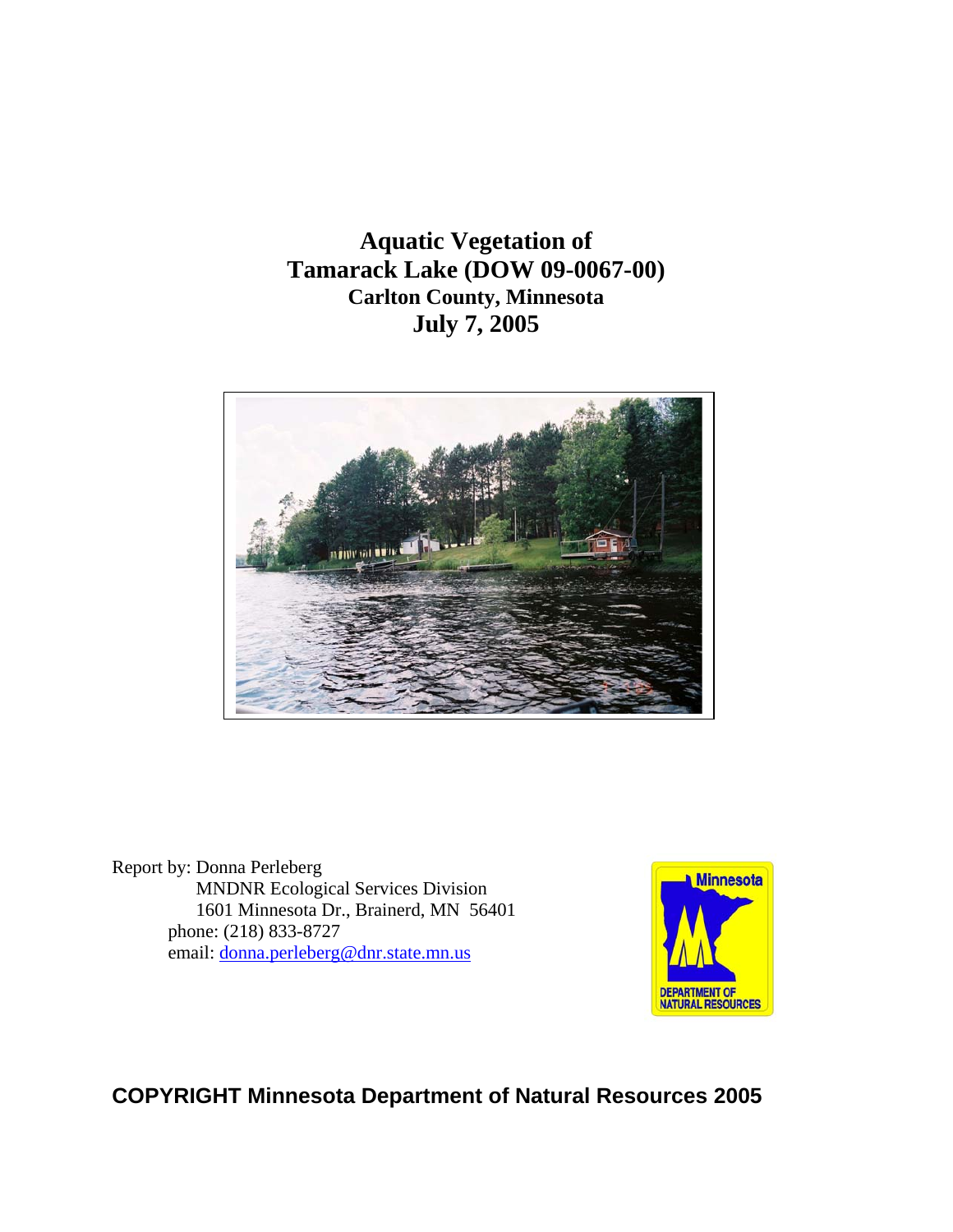**Aquatic Vegetation of Tamarack Lake (DOW 09-0067-00) Carlton County, Minnesota July 7, 2005** 



Report by: Donna Perleberg MNDNR Ecological Services Division 1601 Minnesota Dr., Brainerd, MN 56401 phone: (218) 833-8727 email: [donna.perleberg@dnr.state.mn.us](mailto:donna.perleberg@dnr.state.mn.us)



**COPYRIGHT Minnesota Department of Natural Resources 2005**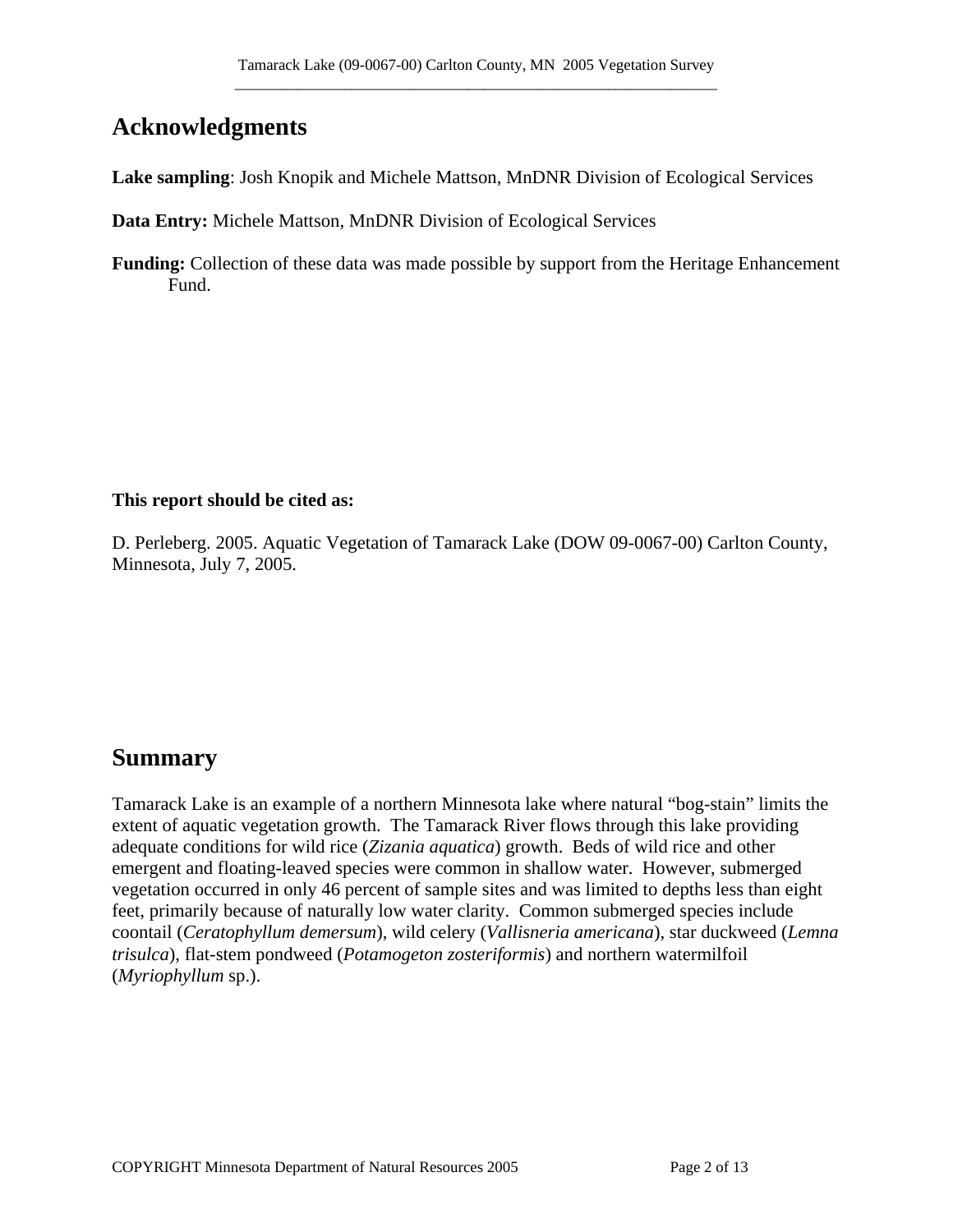## **Acknowledgments**

**Lake sampling**: Josh Knopik and Michele Mattson, MnDNR Division of Ecological Services

**Data Entry:** Michele Mattson, MnDNR Division of Ecological Services

**Funding:** Collection of these data was made possible by support from the Heritage Enhancement Fund.

#### **This report should be cited as:**

D. Perleberg. 2005. Aquatic Vegetation of Tamarack Lake (DOW 09-0067-00) Carlton County, Minnesota, July 7, 2005.

## **Summary**

Tamarack Lake is an example of a northern Minnesota lake where natural "bog-stain" limits the extent of aquatic vegetation growth. The Tamarack River flows through this lake providing adequate conditions for wild rice (*Zizania aquatica*) growth. Beds of wild rice and other emergent and floating-leaved species were common in shallow water. However, submerged vegetation occurred in only 46 percent of sample sites and was limited to depths less than eight feet, primarily because of naturally low water clarity. Common submerged species include coontail (*Ceratophyllum demersum*), wild celery (*Vallisneria americana*), star duckweed (*Lemna trisulca*), flat-stem pondweed (*Potamogeton zosteriformis*) and northern watermilfoil (*Myriophyllum* sp.).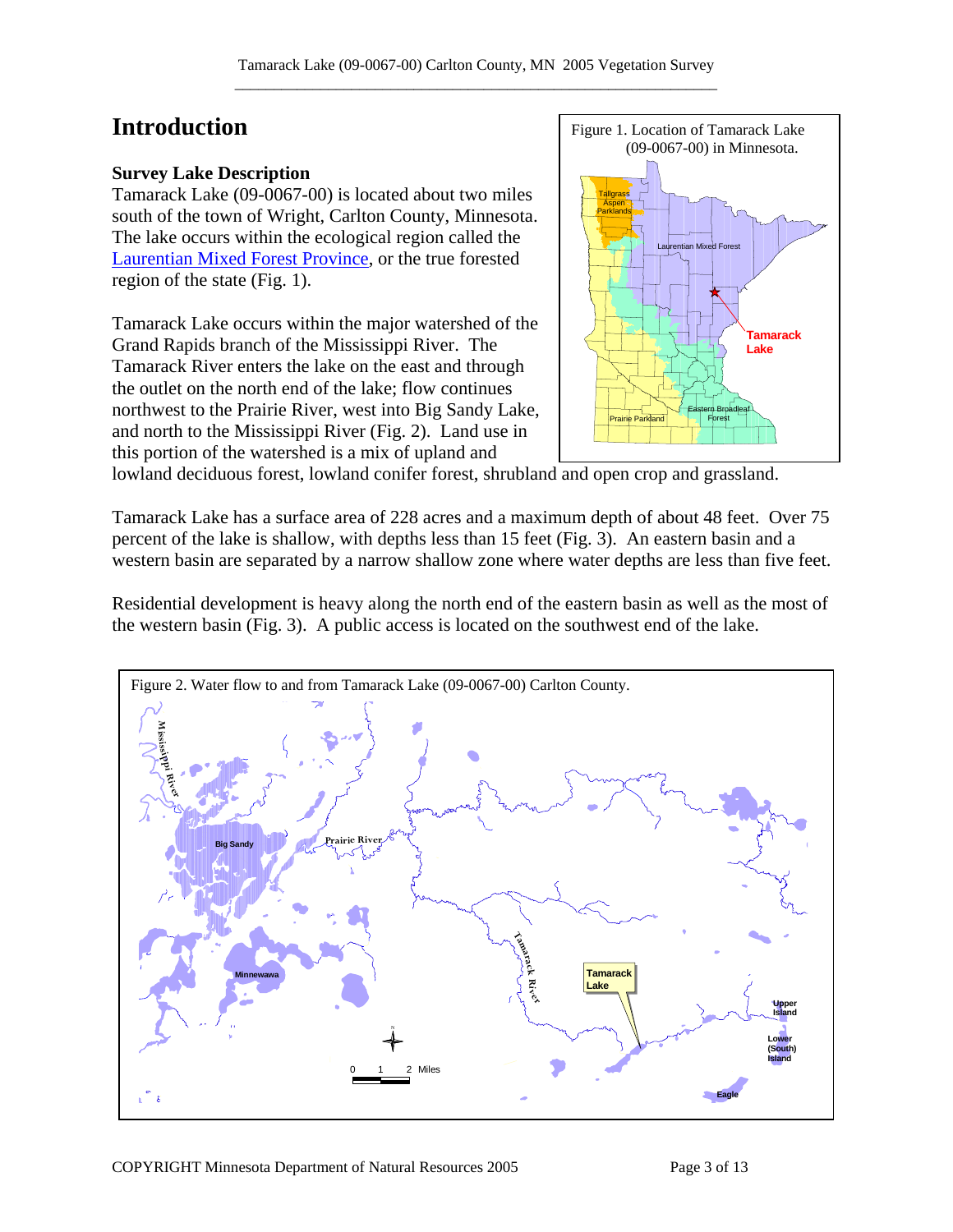# **Introduction**

## **Survey Lake Description**

Tamarack Lake (09-0067-00) is located about two miles south of the town of Wright, Carlton County, Minnesota. The lake occurs within the ecological region called the [Laurentian Mixed Forest Province,](http://www.dnr.state.mn.us/ecs/index.html) or the true forested region of the state (Fig. 1).

Tamarack Lake occurs within the major watershed of the Grand Rapids branch of the Mississippi River. The Tamarack River enters the lake on the east and through the outlet on the north end of the lake; flow continues northwest to the Prairie River, west into Big Sandy Lake, and north to the Mississippi River (Fig. 2). Land use in this portion of the watershed is a mix of upland and



lowland deciduous forest, lowland conifer forest, shrubland and open crop and grassland.

Tamarack Lake has a surface area of 228 acres and a maximum depth of about 48 feet. Over 75 percent of the lake is shallow, with depths less than 15 feet (Fig. 3). An eastern basin and a western basin are separated by a narrow shallow zone where water depths are less than five feet.

Residential development is heavy along the north end of the eastern basin as well as the most of the western basin (Fig. 3). A public access is located on the southwest end of the lake.

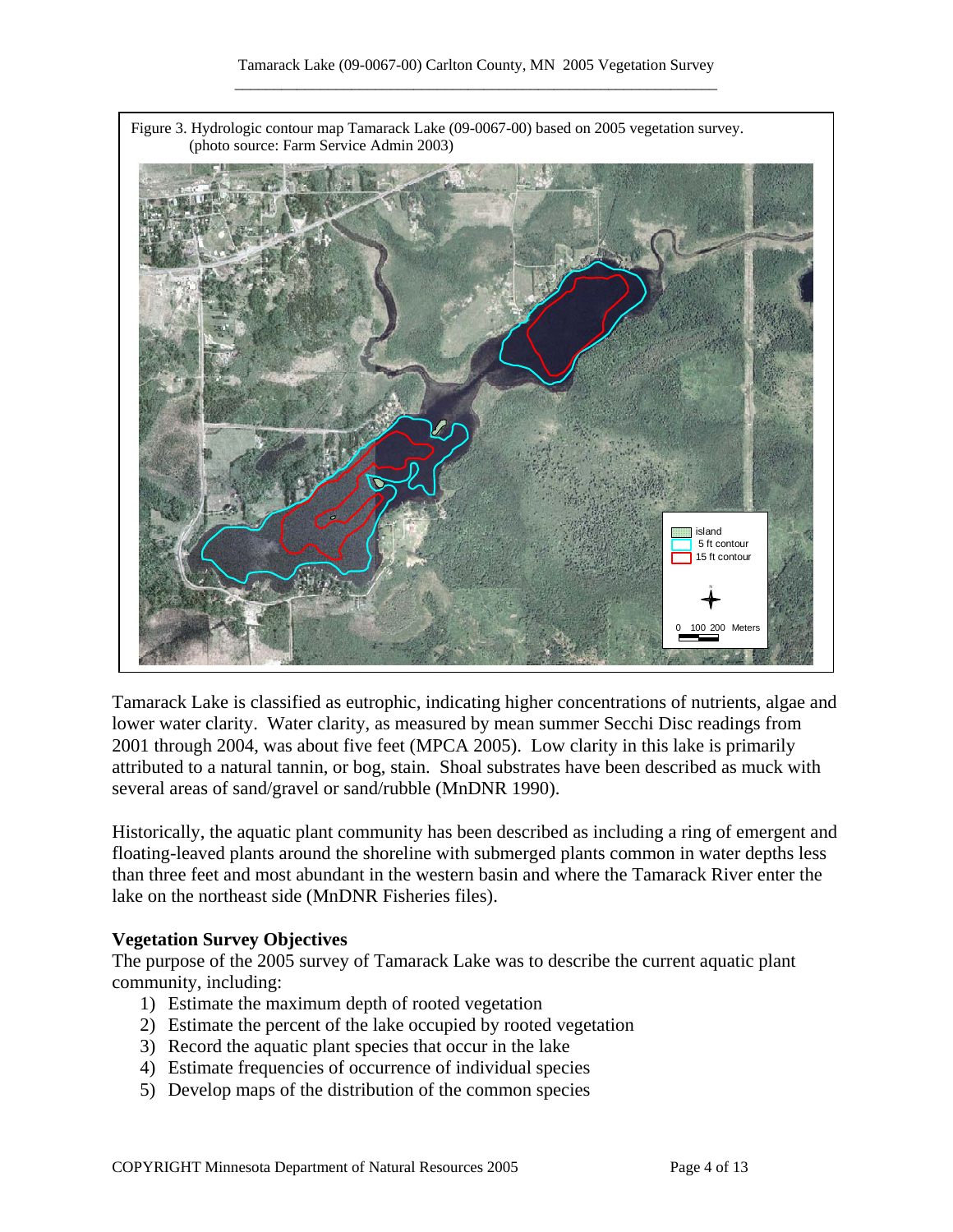Figure 3. Hydrologic contour map Tamarack Lake (09-0067-00) based on 2005 vegetation survey. (photo source: Farm Service Admin 2003) 100 200 N 15 ft contour 5 ft contour island

Tamarack Lake is classified as eutrophic, indicating higher concentrations of nutrients, algae and lower water clarity. Water clarity, as measured by mean summer Secchi Disc readings from 2001 through 2004, was about five feet (MPCA 2005). Low clarity in this lake is primarily attributed to a natural tannin, or bog, stain. Shoal substrates have been described as muck with several areas of sand/gravel or sand/rubble (MnDNR 1990).

Historically, the aquatic plant community has been described as including a ring of emergent and floating-leaved plants around the shoreline with submerged plants common in water depths less than three feet and most abundant in the western basin and where the Tamarack River enter the lake on the northeast side (MnDNR Fisheries files).

## **Vegetation Survey Objectives**

The purpose of the 2005 survey of Tamarack Lake was to describe the current aquatic plant community, including:

- 1) Estimate the maximum depth of rooted vegetation
- 2) Estimate the percent of the lake occupied by rooted vegetation
- 3) Record the aquatic plant species that occur in the lake
- 4) Estimate frequencies of occurrence of individual species
- 5) Develop maps of the distribution of the common species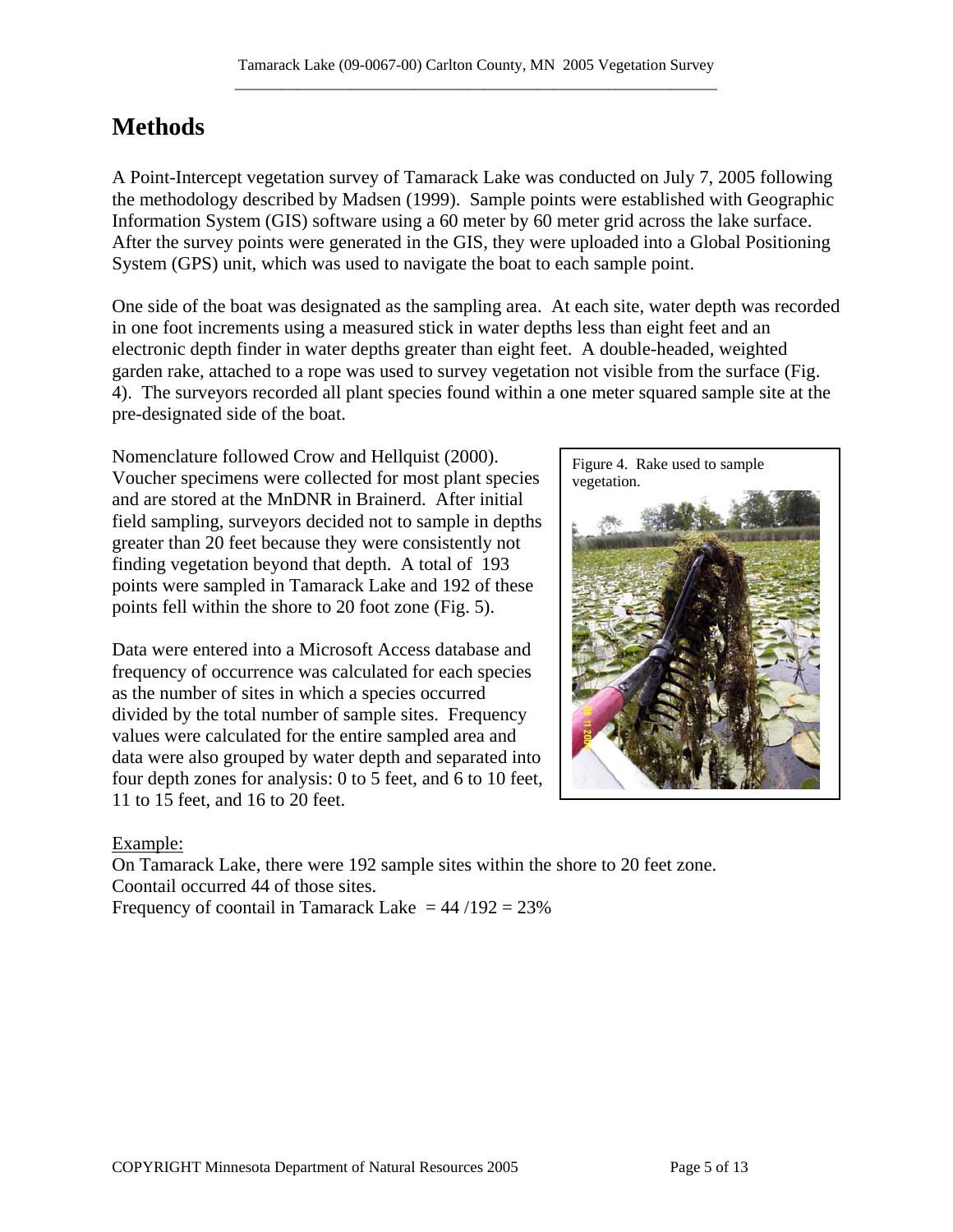# **Methods**

A Point-Intercept vegetation survey of Tamarack Lake was conducted on July 7, 2005 following the methodology described by Madsen (1999). Sample points were established with Geographic Information System (GIS) software using a 60 meter by 60 meter grid across the lake surface. After the survey points were generated in the GIS, they were uploaded into a Global Positioning System (GPS) unit, which was used to navigate the boat to each sample point.

One side of the boat was designated as the sampling area. At each site, water depth was recorded in one foot increments using a measured stick in water depths less than eight feet and an electronic depth finder in water depths greater than eight feet. A double-headed, weighted garden rake, attached to a rope was used to survey vegetation not visible from the surface (Fig. 4). The surveyors recorded all plant species found within a one meter squared sample site at the pre-designated side of the boat.

Nomenclature followed Crow and Hellquist (2000). Voucher specimens were collected for most plant species and are stored at the MnDNR in Brainerd. After initial field sampling, surveyors decided not to sample in depths greater than 20 feet because they were consistently not finding vegetation beyond that depth. A total of 193 points were sampled in Tamarack Lake and 192 of these points fell within the shore to 20 foot zone (Fig. 5).

Data were entered into a Microsoft Access database and frequency of occurrence was calculated for each species as the number of sites in which a species occurred divided by the total number of sample sites. Frequency values were calculated for the entire sampled area and data were also grouped by water depth and separated into four depth zones for analysis: 0 to 5 feet, and 6 to 10 feet, 11 to 15 feet, and 16 to 20 feet.



## Example:

On Tamarack Lake, there were 192 sample sites within the shore to 20 feet zone. Coontail occurred 44 of those sites.

Frequency of coontail in Tamarack Lake  $= 44/192 = 23%$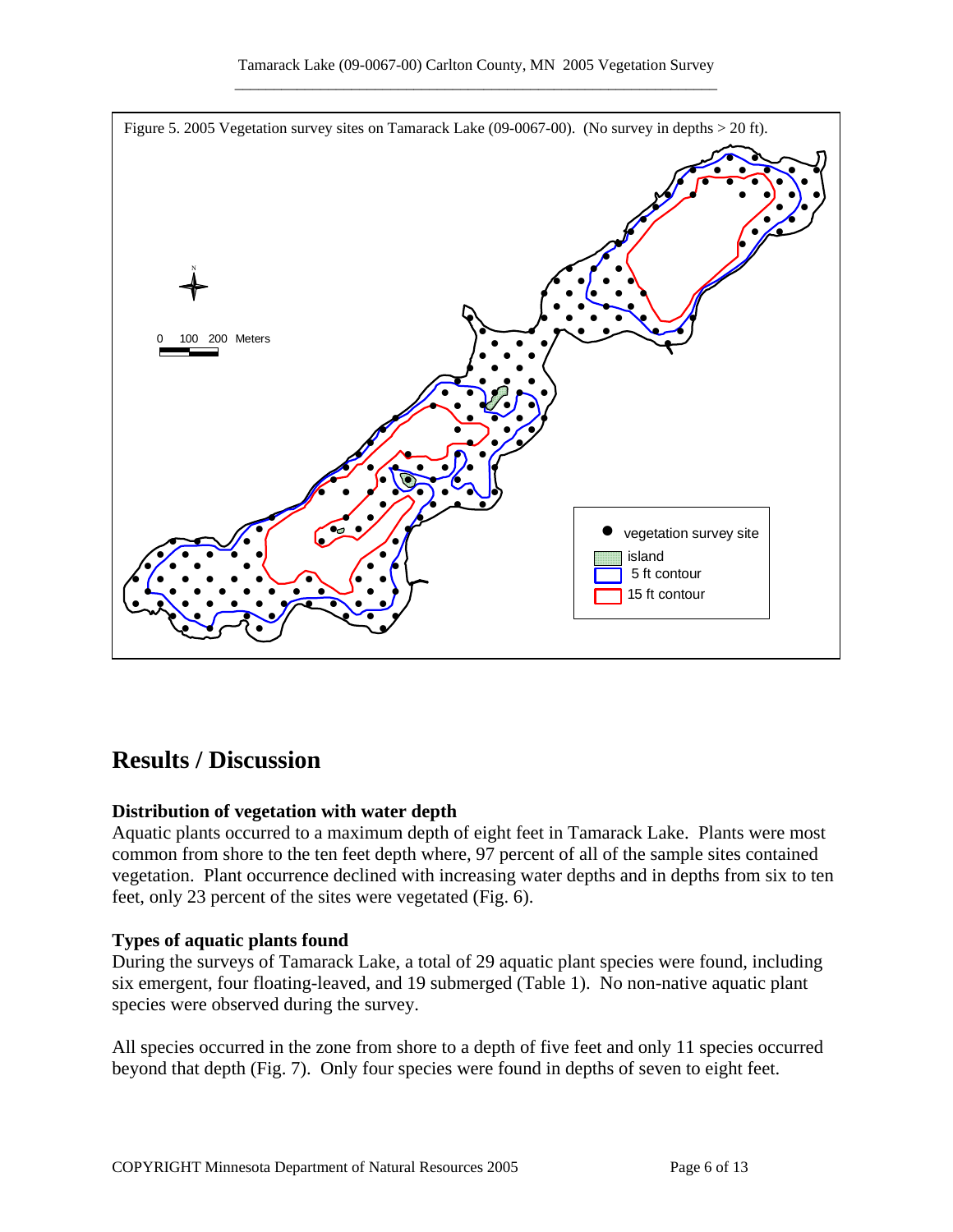

## **Results / Discussion**

## **Distribution of vegetation with water depth**

Aquatic plants occurred to a maximum depth of eight feet in Tamarack Lake. Plants were most common from shore to the ten feet depth where, 97 percent of all of the sample sites contained vegetation. Plant occurrence declined with increasing water depths and in depths from six to ten feet, only 23 percent of the sites were vegetated (Fig. 6).

#### **Types of aquatic plants found**

During the surveys of Tamarack Lake, a total of 29 aquatic plant species were found, including six emergent, four floating-leaved, and 19 submerged (Table 1). No non-native aquatic plant species were observed during the survey.

All species occurred in the zone from shore to a depth of five feet and only 11 species occurred beyond that depth (Fig. 7). Only four species were found in depths of seven to eight feet.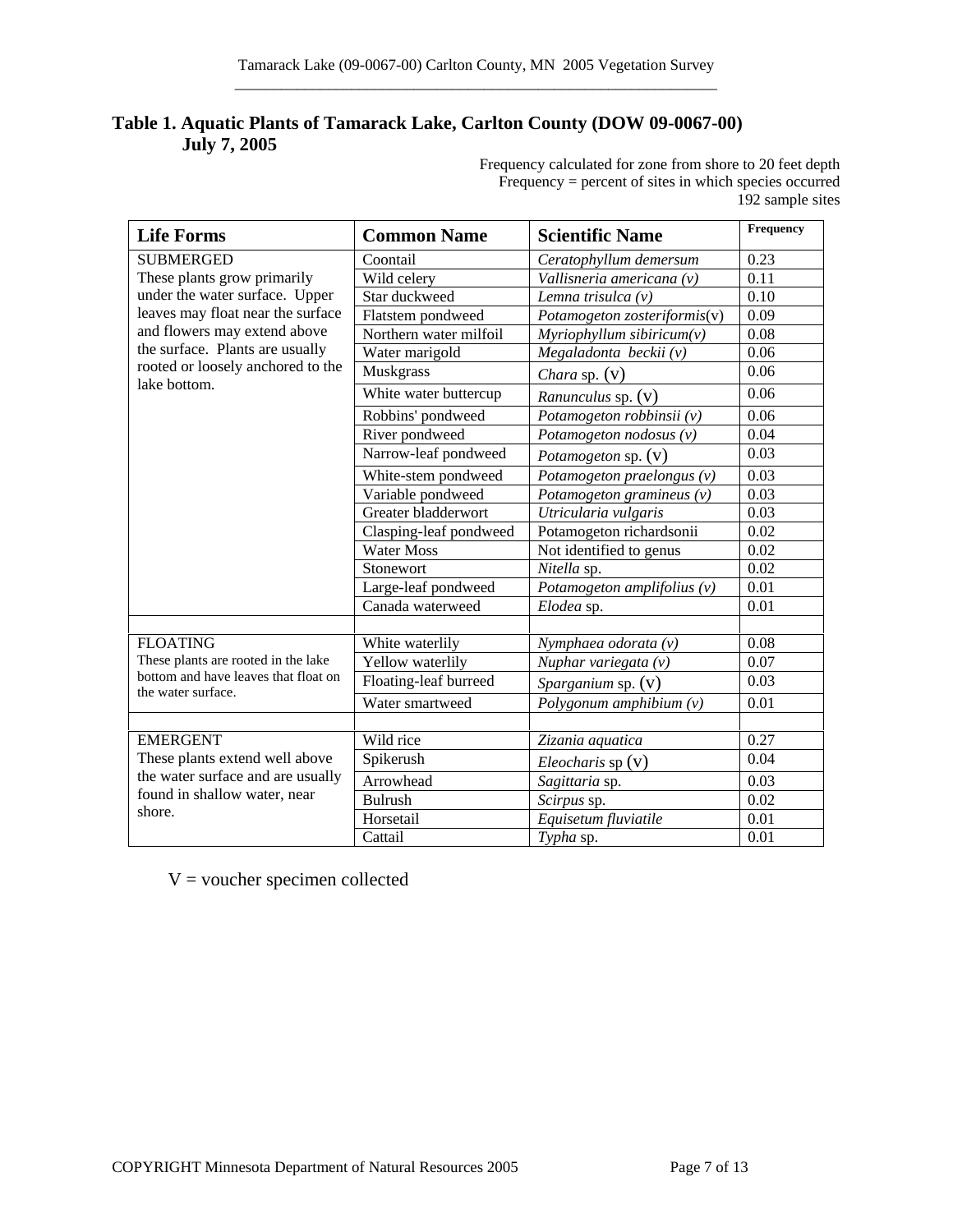## **Table 1. Aquatic Plants of Tamarack Lake, Carlton County (DOW 09-0067-00) July 7, 2005**

Frequency calculated for zone from shore to 20 feet depth Frequency = percent of sites in which species occurred 192 sample sites

| <b>Life Forms</b>                                                                                                                                                                                                          | <b>Common Name</b>     | <b>Scientific Name</b>        | Frequency |
|----------------------------------------------------------------------------------------------------------------------------------------------------------------------------------------------------------------------------|------------------------|-------------------------------|-----------|
| <b>SUBMERGED</b>                                                                                                                                                                                                           | Coontail               | Ceratophyllum demersum        | 0.23      |
| These plants grow primarily<br>under the water surface. Upper<br>leaves may float near the surface<br>and flowers may extend above<br>the surface. Plants are usually<br>rooted or loosely anchored to the<br>lake bottom. | Wild celery            | Vallisneria americana (v)     | 0.11      |
|                                                                                                                                                                                                                            | Star duckweed          | Lemna trisulca (v)            | 0.10      |
|                                                                                                                                                                                                                            | Flatstem pondweed      | Potamogeton zosteriformis(v)  | 0.09      |
|                                                                                                                                                                                                                            | Northern water milfoil | Myriophyllum sibiricum(v)     | 0.08      |
|                                                                                                                                                                                                                            | Water marigold         | Megaladonta beckii (v)        | 0.06      |
|                                                                                                                                                                                                                            | Muskgrass              | Chara sp. (V)                 | 0.06      |
|                                                                                                                                                                                                                            | White water buttercup  | Ranunculus sp. $(V)$          | 0.06      |
|                                                                                                                                                                                                                            | Robbins' pondweed      | Potamogeton robbinsii (v)     | 0.06      |
|                                                                                                                                                                                                                            | River pondweed         | Potamogeton nodosus $(v)$     | 0.04      |
|                                                                                                                                                                                                                            | Narrow-leaf pondweed   | Potamogeton sp. (V)           | 0.03      |
|                                                                                                                                                                                                                            | White-stem pondweed    | Potamogeton praelongus (v)    | 0.03      |
|                                                                                                                                                                                                                            | Variable pondweed      | Potamogeton gramineus $(v)$   | 0.03      |
|                                                                                                                                                                                                                            | Greater bladderwort    | Utricularia vulgaris          | 0.03      |
|                                                                                                                                                                                                                            | Clasping-leaf pondweed | Potamogeton richardsonii      | 0.02      |
|                                                                                                                                                                                                                            | <b>Water Moss</b>      | Not identified to genus       | 0.02      |
|                                                                                                                                                                                                                            | Stonewort              | Nitella sp.                   | 0.02      |
|                                                                                                                                                                                                                            | Large-leaf pondweed    | Potamogeton amplifolius $(v)$ | 0.01      |
|                                                                                                                                                                                                                            | Canada waterweed       | Elodea sp.                    | 0.01      |
|                                                                                                                                                                                                                            |                        |                               |           |
| <b>FLOATING</b><br>These plants are rooted in the lake<br>bottom and have leaves that float on<br>the water surface.                                                                                                       | White waterlily        | Nymphaea odorata (v)          | 0.08      |
|                                                                                                                                                                                                                            | Yellow waterlily       | Nuphar variegata (v)          | 0.07      |
|                                                                                                                                                                                                                            | Floating-leaf burreed  | Sparganium sp. (V)            | 0.03      |
|                                                                                                                                                                                                                            | Water smartweed        | Polygonum amphibium $(v)$     | 0.01      |
|                                                                                                                                                                                                                            |                        |                               |           |
| <b>EMERGENT</b><br>These plants extend well above<br>the water surface and are usually<br>found in shallow water, near<br>shore.                                                                                           | Wild rice              | Zizania aquatica              | 0.27      |
|                                                                                                                                                                                                                            | Spikerush              | <i>Eleocharis</i> sp $(v)$    | 0.04      |
|                                                                                                                                                                                                                            | Arrowhead              | Sagittaria sp.                | 0.03      |
|                                                                                                                                                                                                                            | <b>Bulrush</b>         | Scirpus sp.                   | 0.02      |
|                                                                                                                                                                                                                            | Horsetail              | Equisetum fluviatile          | 0.01      |
|                                                                                                                                                                                                                            | Cattail                | Typha sp.                     | 0.01      |

V = voucher specimen collected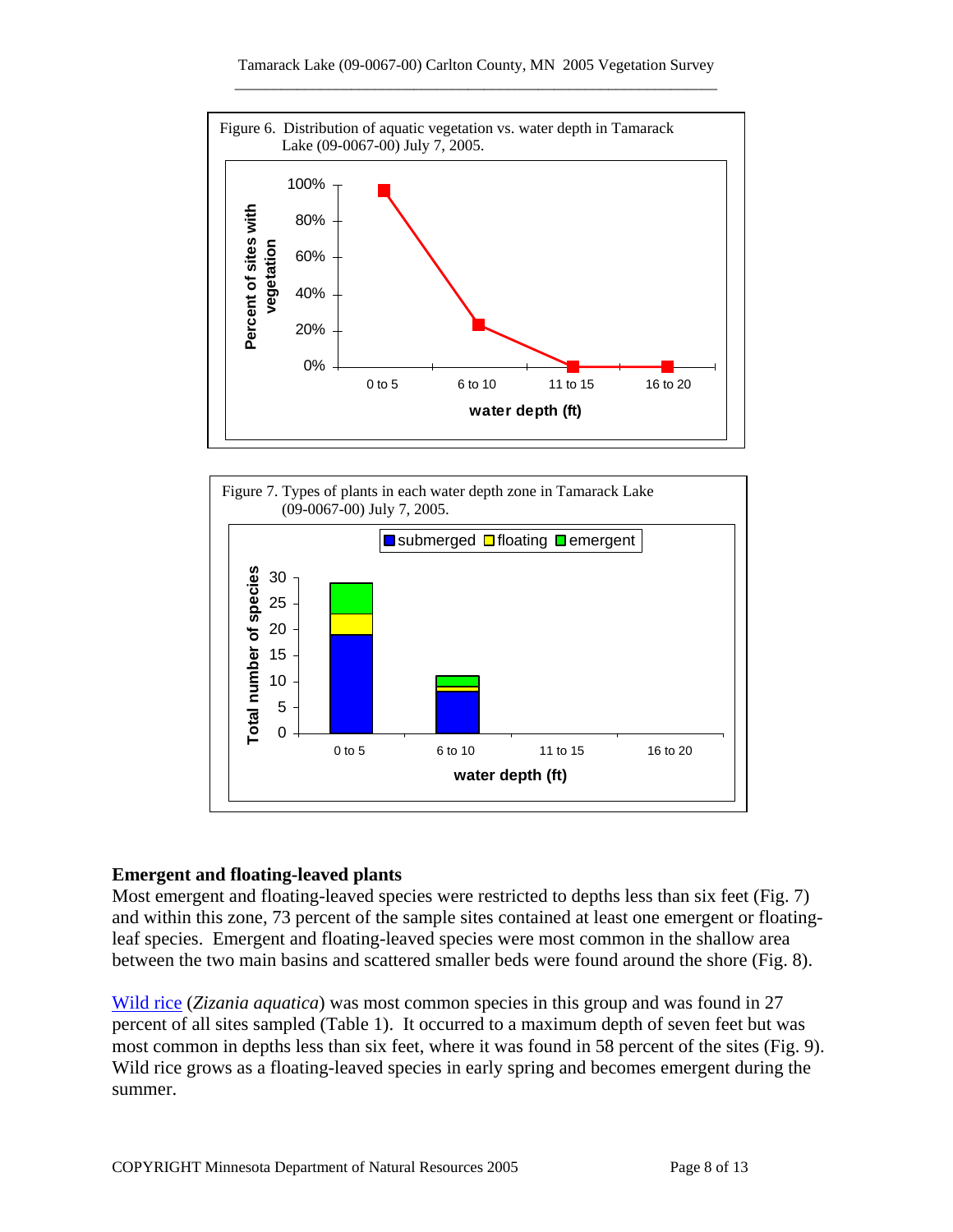



#### **Emergent and floating-leaved plants**

Most emergent and floating-leaved species were restricted to depths less than six feet (Fig. 7) and within this zone, 73 percent of the sample sites contained at least one emergent or floatingleaf species. Emergent and floating-leaved species were most common in the shallow area between the two main basins and scattered smaller beds were found around the shore (Fig. 8).

[Wild rice](http://www.dnr.state.mn.us/aquatic_plants/emergent_plants/wildrice.html) (*Zizania aquatica*) was most common species in this group and was found in 27 percent of all sites sampled (Table 1). It occurred to a maximum depth of seven feet but was most common in depths less than six feet, where it was found in 58 percent of the sites (Fig. 9). Wild rice grows as a floating-leaved species in early spring and becomes emergent during the summer.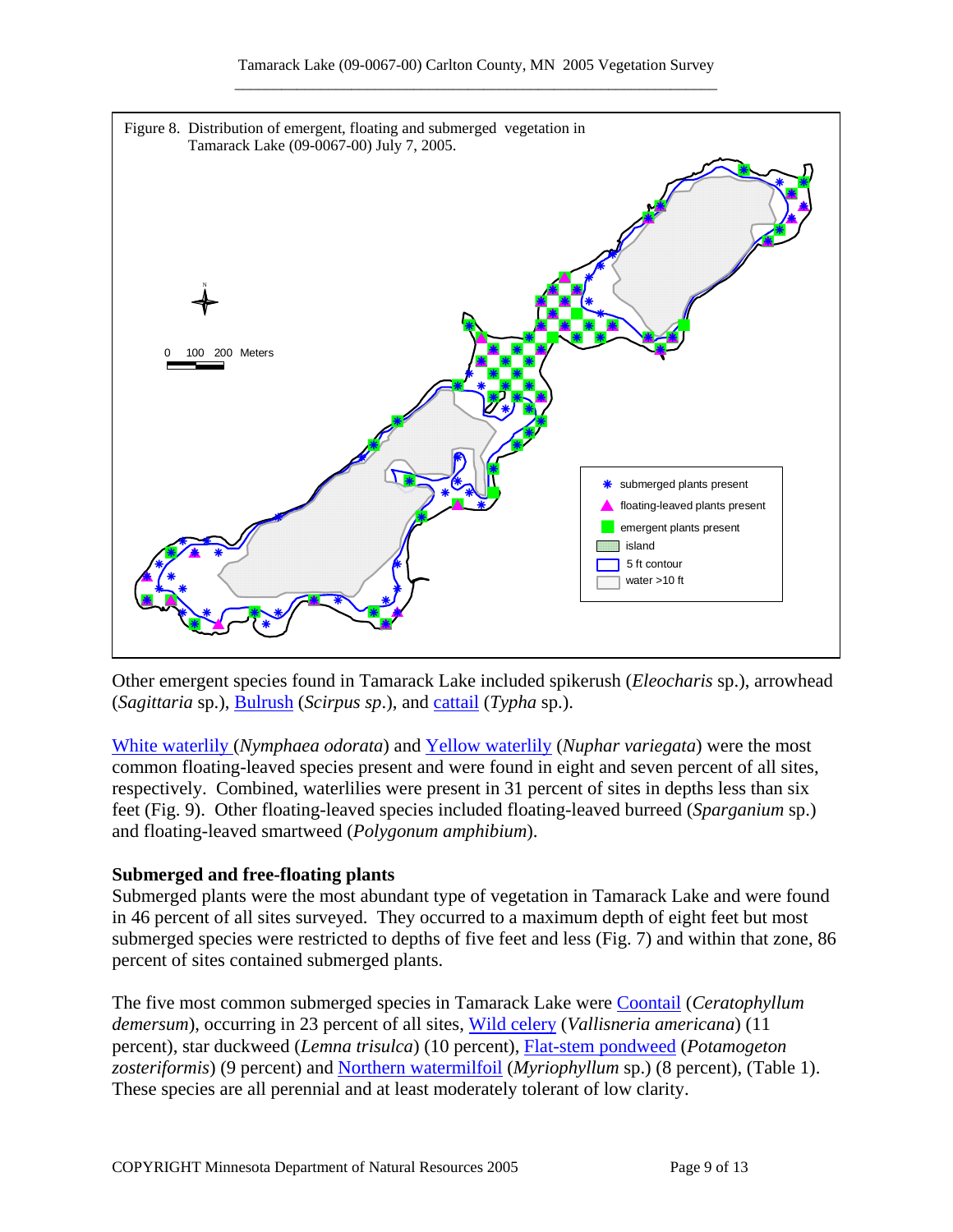

Other emergent species found in Tamarack Lake included spikerush (*Eleocharis* sp.), arrowhead (*Sagittaria* sp.), [Bulrush](http://www.dnr.state.mn.us/aquatic_plants/emergent_plants/bulrushes.html) (*Scirpus sp*.), and [cattail](http://www.dnr.state.mn.us/aquatic_plants/emergent_plants/cattails.html) (*Typha* sp.).

[White waterlily](http://www.dnr.state.mn.us/aquatic_plants/floatingleaf_plants/white_water_lily.html) (*Nymphaea odorata*) and [Yellow waterlily](http://www.dnr.state.mn.us/aquatic_plants/floatingleaf_plants/spatterdock.html) (*Nuphar variegata*) were the most common floating-leaved species present and were found in eight and seven percent of all sites, respectively. Combined, waterlilies were present in 31 percent of sites in depths less than six feet (Fig. 9). Other floating-leaved species included floating-leaved burreed (*Sparganium* sp.) and floating-leaved smartweed (*Polygonum amphibium*).

## **Submerged and free-floating plants**

Submerged plants were the most abundant type of vegetation in Tamarack Lake and were found in 46 percent of all sites surveyed. They occurred to a maximum depth of eight feet but most submerged species were restricted to depths of five feet and less (Fig. 7) and within that zone, 86 percent of sites contained submerged plants.

The five most common submerged species in Tamarack Lake were [Coontail](http://www.dnr.state.mn.us/aquatic_plants/submerged_plants/coontail.html) (*Ceratophyllum demersum*), occurring in 23 percent of all sites, [Wild celery](http://www.dnr.state.mn.us/aquatic_plants/submerged_plants/wild_celery.html) (*Vallisneria americana*) (11 percent), star duckweed (*Lemna trisulca*) (10 percent), [Flat-stem pondweed](http://www.dnr.state.mn.us/aquatic_plants/submerged_plants/narrowleaf_pondweeds.html) (*Potamogeton zosteriformis*) (9 percent) and [Northern watermilfoil](http://www.dnr.state.mn.us/aquatic_plants/submerged_plants/northern_watermilfoil.html) (*Myriophyllum* sp.) (8 percent), (Table 1). These species are all perennial and at least moderately tolerant of low clarity.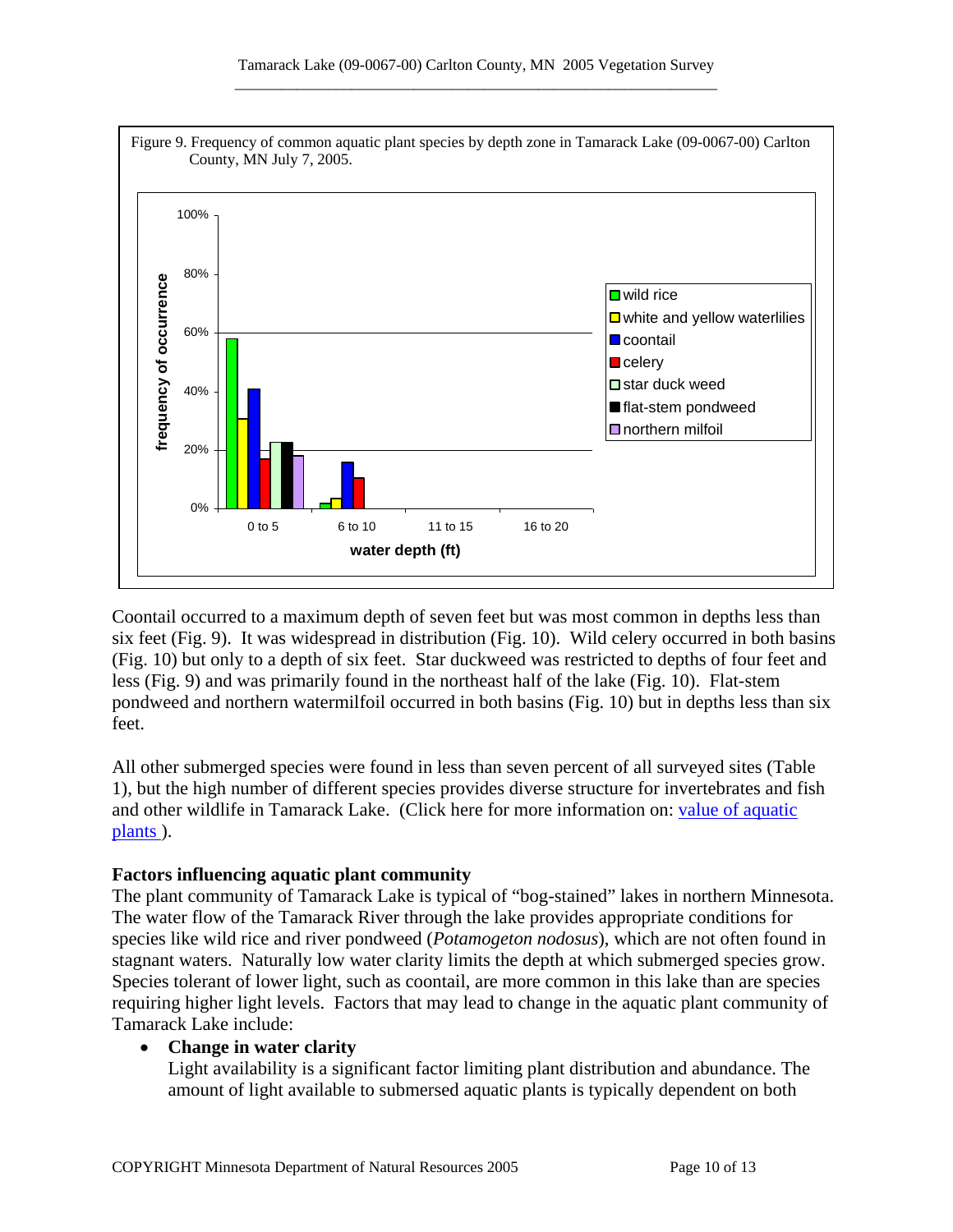

Coontail occurred to a maximum depth of seven feet but was most common in depths less than six feet (Fig. 9). It was widespread in distribution (Fig. 10). Wild celery occurred in both basins (Fig. 10) but only to a depth of six feet. Star duckweed was restricted to depths of four feet and less (Fig. 9) and was primarily found in the northeast half of the lake (Fig. 10). Flat-stem pondweed and northern watermilfoil occurred in both basins (Fig. 10) but in depths less than six feet.

All other submerged species were found in less than seven percent of all surveyed sites (Table 1), but the high number of different species provides diverse structure for invertebrates and fish and other wildlife in Tamarack Lake. (Click here for more information on: [value of aquatic](http://www.dnr.state.mn.us/shorelandmgmt/apg/value.html)  [plants \)](http://www.dnr.state.mn.us/shorelandmgmt/apg/value.html).

#### **Factors influencing aquatic plant community**

The plant community of Tamarack Lake is typical of "bog-stained" lakes in northern Minnesota. The water flow of the Tamarack River through the lake provides appropriate conditions for species like wild rice and river pondweed (*Potamogeton nodosus*), which are not often found in stagnant waters. Naturally low water clarity limits the depth at which submerged species grow. Species tolerant of lower light, such as coontail, are more common in this lake than are species requiring higher light levels. Factors that may lead to change in the aquatic plant community of Tamarack Lake include:

#### • **Change in water clarity**

Light availability is a significant factor limiting plant distribution and abundance. The amount of light available to submersed aquatic plants is typically dependent on both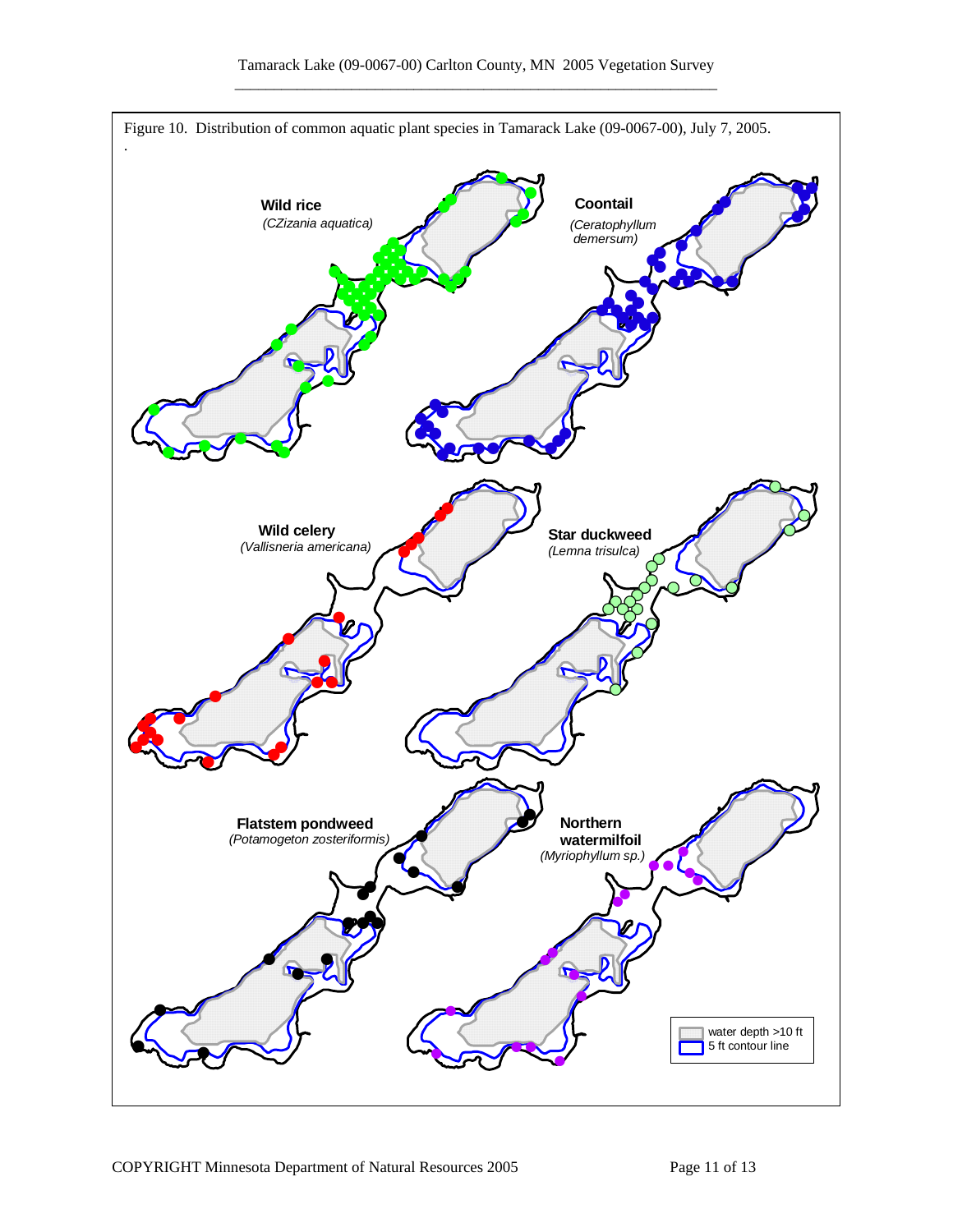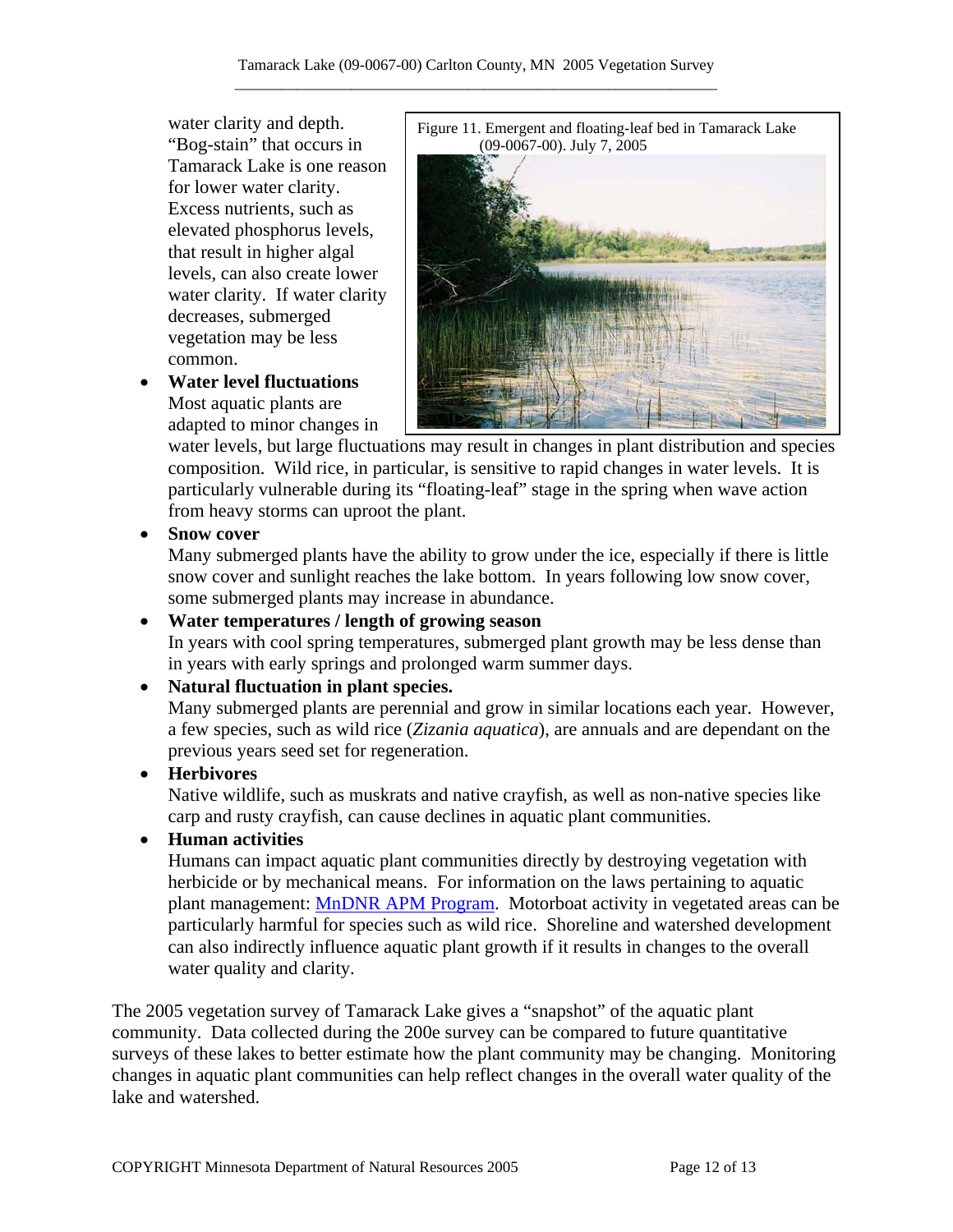water clarity and depth. "Bog-stain" that occurs in Tamarack Lake is one reason for lower water clarity. Excess nutrients, such as elevated phosphorus levels, that result in higher algal levels, can also create lower water clarity. If water clarity decreases, submerged vegetation may be less common.

• **Water level fluctuations**  Most aquatic plants are adapted to minor changes in



water levels, but large fluctuations may result in changes in plant distribution and species composition. Wild rice, in particular, is sensitive to rapid changes in water levels. It is particularly vulnerable during its "floating-leaf" stage in the spring when wave action from heavy storms can uproot the plant.

## • **Snow cover**

Many submerged plants have the ability to grow under the ice, especially if there is little snow cover and sunlight reaches the lake bottom. In years following low snow cover, some submerged plants may increase in abundance.

## • **Water temperatures / length of growing season**

In years with cool spring temperatures, submerged plant growth may be less dense than in years with early springs and prolonged warm summer days.

## • **Natural fluctuation in plant species.**

Many submerged plants are perennial and grow in similar locations each year. However, a few species, such as wild rice (*Zizania aquatica*), are annuals and are dependant on the previous years seed set for regeneration.

## • **Herbivores**

Native wildlife, such as muskrats and native crayfish, as well as non-native species like carp and rusty crayfish, can cause declines in aquatic plant communities.

## • **Human activities**

Humans can impact aquatic plant communities directly by destroying vegetation with herbicide or by mechanical means. For information on the laws pertaining to aquatic plant management: [MnDNR APM Program.](http://www.dnr.state.mn.us/ecological_services/apm/index.html) Motorboat activity in vegetated areas can be particularly harmful for species such as wild rice. Shoreline and watershed development can also indirectly influence aquatic plant growth if it results in changes to the overall water quality and clarity.

The 2005 vegetation survey of Tamarack Lake gives a "snapshot" of the aquatic plant community. Data collected during the 200e survey can be compared to future quantitative surveys of these lakes to better estimate how the plant community may be changing. Monitoring changes in aquatic plant communities can help reflect changes in the overall water quality of the lake and watershed.